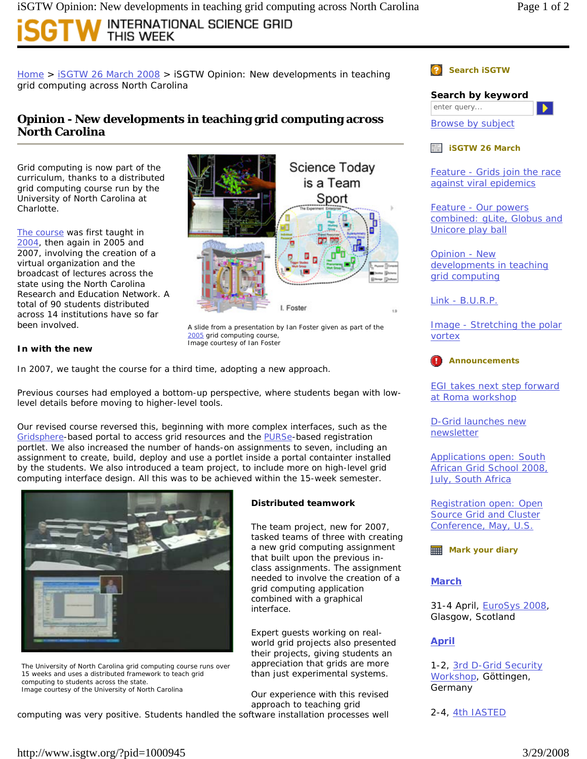# INTERNATIONAL SCIENCE GRID This Week

Home > iSGTW 26 March 2008 > iSGTW Opinion: New developments in teaching grid computing across North Carolina

## **Opinion - New developments in teaching grid computing across North Carolina**

Grid computing is now part of the curriculum, thanks to a distributed grid computing course run by the University of North Carolina at Charlotte.

The course was first taught in 2004, then again in 2005 and 2007, involving the creation of a virtual organization and the broadcast of lectures across the state using the North Carolina Research and Education Network. A total of 90 students distributed across 14 institutions have so far been involved.



A slide from a presentation by Ian Foster given as part of the 2005 grid computing course, *Image courtesy of Ian Foster* 

### **In with the new**

In 2007, we taught the course for a third time, adopting a new approach.

Previous courses had employed a bottom-up perspective, where students began with lowlevel details before moving to higher-level tools.

Our revised course reversed this, beginning with more complex interfaces, such as the Gridsphere-based portal to access grid resources and the PURSe-based registration portlet. We also increased the number of hands-on assignments to seven, including an assignment to create, build, deploy and use a portlet inside a portal containter installed by the students. We also introduced a team project, to include more on high-level grid computing interface design. All this was to be achieved within the 15-week semester.



The University of North Carolina grid computing course runs over 15 weeks and uses a distributed framework to teach grid computing to students across the state. *Image courtesy of the University of North Carolina* 

#### Our experience with this revised approach to teaching grid

**Distributed teamwork**

grid computing application combined with a graphical

Expert guests working on realworld grid projects also presented their projects, giving students an appreciation that grids are more than just experimental systems.

interface.

The team project, new for 2007, tasked teams of three with creating a new grid computing assignment that built upon the previous inclass assignments. The assignment needed to involve the creation of a

computing was very positive. Students handled the software installation processes well

**Search** *iSGTW*

**Search by keyword** enter query...  $\blacktriangleright$  :

Browse by subject

*iSGTW* **26 March**

Feature - Grids join the race against viral epidemics

Feature - Our powers combined: gLite, Globus and Unicore play ball

Opinion - New developments in teaching grid computing

Link - B.U.R.P.

Image - Stretching the polar vortex



EGI takes next step forward at Roma workshop

D-Grid launches new newsletter

Applications open: South African Grid School 2008, July, South Africa

Registration open: Open Source Grid and Cluster Conference, May, U.S.

**Mark your diary** 

### **March**

31-4 April, EuroSys 2008, Glasgow, Scotland

### **April**

1-2, 3rd D-Grid Security Workshop, Göttingen, Germany

2-4, 4th IASTED